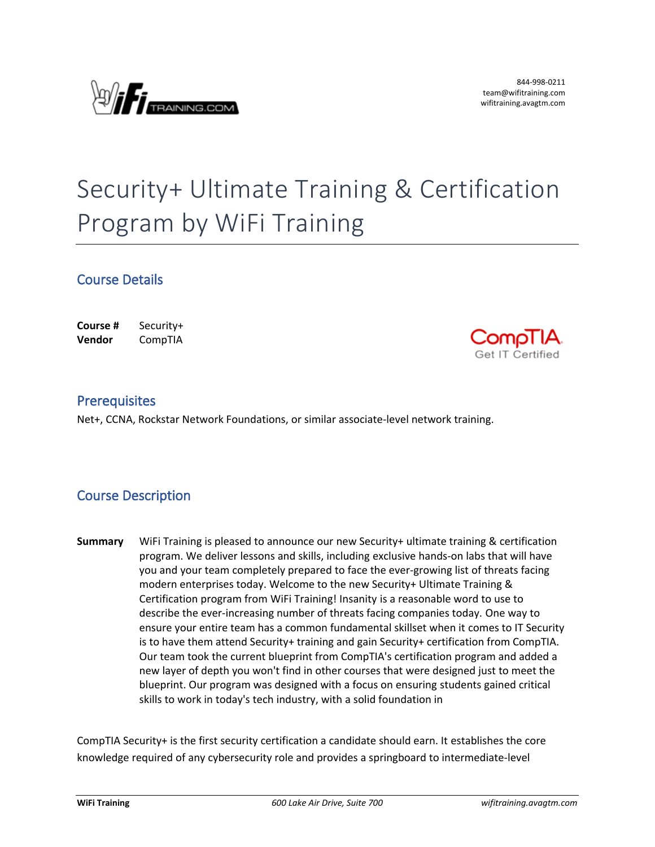

# Security+ Ultimate Training & Certification Program by WiFi Training

### **Course Details**

| Course #      | Security+ |
|---------------|-----------|
| <b>Vendor</b> | CompTIA   |



#### **Prerequisites**

Net+, CCNA, Rockstar Network Foundations, or similar associate-level network training.

## **Course Description**

**Summary** WiFi Training is pleased to announce our new Security+ ultimate training & certification program. We deliver lessons and skills, including exclusive hands-on labs that will have you and your team completely prepared to face the ever-growing list of threats facing modern enterprises today. Welcome to the new Security+ Ultimate Training & Certification program from WiFi Training! Insanity is a reasonable word to use to describe the ever-increasing number of threats facing companies today. One way to ensure your entire team has a common fundamental skillset when it comes to IT Security is to have them attend Security+ training and gain Security+ certification from CompTIA. Our team took the current blueprint from CompTIA's certification program and added a new layer of depth you won't find in other courses that were designed just to meet the blueprint. Our program was designed with a focus on ensuring students gained critical skills to work in today's tech industry, with a solid foundation in

CompTIA Security+ is the first security certification a candidate should earn. It establishes the core knowledge required of any cybersecurity role and provides a springboard to intermediate-level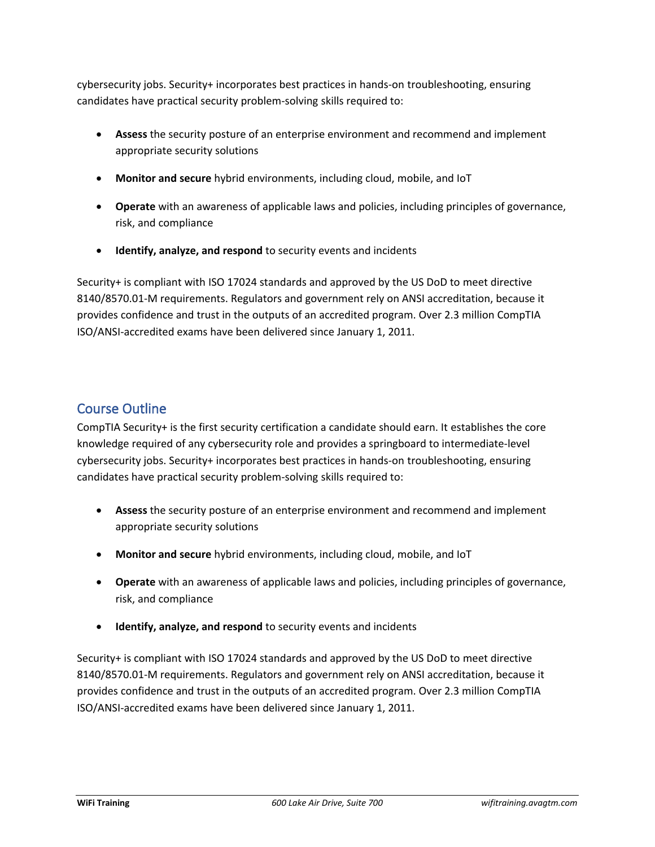cybersecurity jobs. Security+ incorporates best practices in hands-on troubleshooting, ensuring candidates have practical security problem-solving skills required to:

- **Assess** the security posture of an enterprise environment and recommend and implement appropriate security solutions
- **Monitor and secure** hybrid environments, including cloud, mobile, and IoT
- **Operate** with an awareness of applicable laws and policies, including principles of governance, risk, and compliance
- **Identify, analyze, and respond** to security events and incidents

Security+ is compliant with ISO 17024 standards and approved by the US DoD to meet directive 8140/8570.01-M requirements. Regulators and government rely on ANSI accreditation, because it provides confidence and trust in the outputs of an accredited program. Over 2.3 million CompTIA ISO/ANSI-accredited exams have been delivered since January 1, 2011.

# **Course Outline**

CompTIA Security+ is the first security certification a candidate should earn. It establishes the core knowledge required of any cybersecurity role and provides a springboard to intermediate-level cybersecurity jobs. Security+ incorporates best practices in hands-on troubleshooting, ensuring candidates have practical security problem-solving skills required to:

- **Assess** the security posture of an enterprise environment and recommend and implement appropriate security solutions
- **Monitor and secure** hybrid environments, including cloud, mobile, and IoT
- **Operate** with an awareness of applicable laws and policies, including principles of governance, risk, and compliance
- **Identify, analyze, and respond** to security events and incidents

Security+ is compliant with ISO 17024 standards and approved by the US DoD to meet directive 8140/8570.01-M requirements. Regulators and government rely on ANSI accreditation, because it provides confidence and trust in the outputs of an accredited program. Over 2.3 million CompTIA ISO/ANSI-accredited exams have been delivered since January 1, 2011.